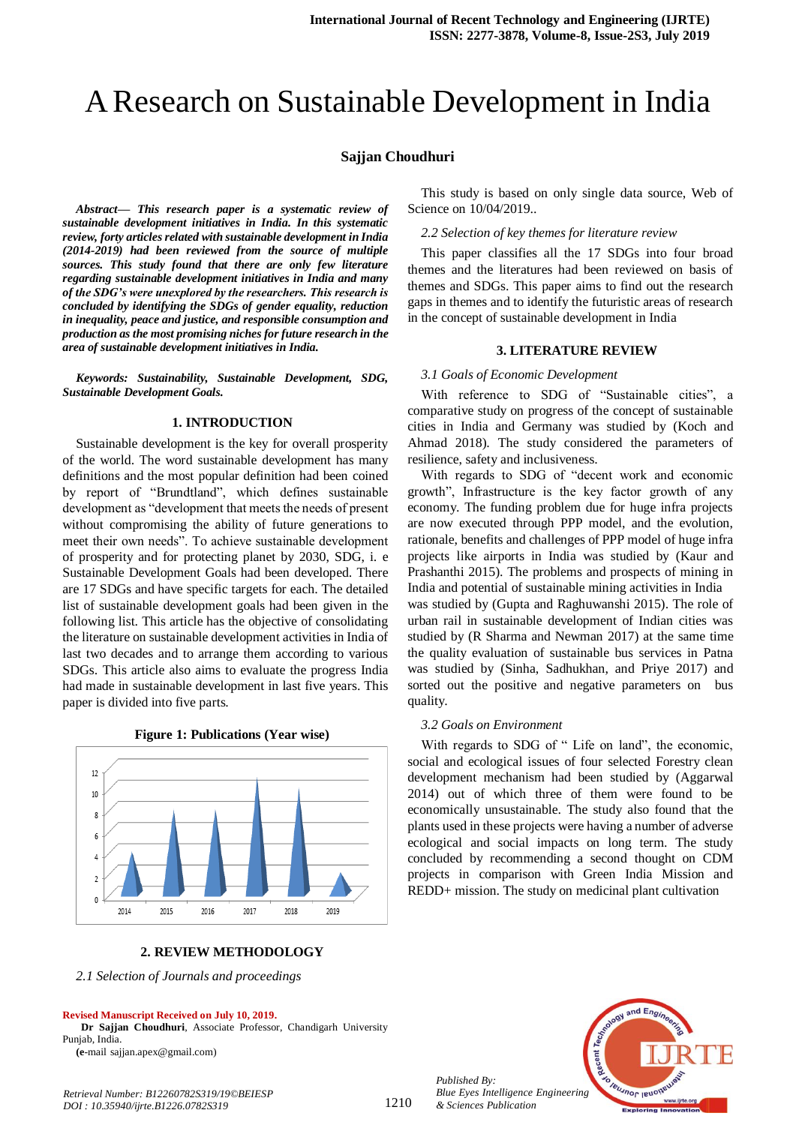# A Research on Sustainable Development in India

### **Sajjan Choudhuri**

*Abstract***—** *This research paper is a systematic review of sustainable development initiatives in India. In this systematic review, forty articles related with sustainable development in India (2014-2019) had been reviewed from the source of multiple sources. This study found that there are only few literature regarding sustainable development initiatives in India and many of the SDG's were unexplored by the researchers. This research is concluded by identifying the SDGs of gender equality, reduction in inequality, peace and justice, and responsible consumption and production as the most promising niches for future research in the area of sustainable development initiatives in India.*

*Keywords: Sustainability, Sustainable Development, SDG, Sustainable Development Goals.*

#### **1. INTRODUCTION**

Sustainable development is the key for overall prosperity of the world. The word sustainable development has many definitions and the most popular definition had been coined by report of "Brundtland", which defines sustainable development as "development that meets the needs of present without compromising the ability of future generations to meet their own needs". To achieve sustainable development of prosperity and for protecting planet by 2030, SDG, i. e Sustainable Development Goals had been developed. There are 17 SDGs and have specific targets for each. The detailed list of sustainable development goals had been given in the following list. This article has the objective of consolidating the literature on sustainable development activities in India of last two decades and to arrange them according to various SDGs. This article also aims to evaluate the progress India had made in sustainable development in last five years. This paper is divided into five parts.



**Figure 1: Publications (Year wise)**

**2. REVIEW METHODOLOGY**

*2.1 Selection of Journals and proceedings*

#### **Revised Manuscript Received on July 10, 2019.**

**Dr Sajjan Choudhuri**, Associate Professor, Chandigarh University Punjab, India.

**(e**-mail sajjan.apex@gmail.com)

*Retrieval Number: B12260782S319/19©BEIESP DOI : 10.35940/ijrte.B1226.0782S319*

This study is based on only single data source, Web of Science on 10/04/2019..

*2.2 Selection of key themes for literature review*

This paper classifies all the 17 SDGs into four broad themes and the literatures had been reviewed on basis of themes and SDGs. This paper aims to find out the research gaps in themes and to identify the futuristic areas of research in the concept of sustainable development in India

#### **3. LITERATURE REVIEW**

#### *3.1 Goals of Economic Development*

With reference to SDG of "Sustainable cities", a comparative study on progress of the concept of sustainable cities in India and Germany was studied by (Koch and Ahmad 2018). The study considered the parameters of resilience, safety and inclusiveness.

With regards to SDG of "decent work and economic growth", Infrastructure is the key factor growth of any economy. The funding problem due for huge infra projects are now executed through PPP model, and the evolution, rationale, benefits and challenges of PPP model of huge infra projects like airports in India was studied by (Kaur and Prashanthi 2015). The problems and prospects of mining in India and potential of sustainable mining activities in India was studied by (Gupta and Raghuwanshi 2015). The role of urban rail in sustainable development of Indian cities was

studied by (R Sharma and Newman 2017) at the same time the quality evaluation of sustainable bus services in Patna was studied by (Sinha, Sadhukhan, and Priye 2017) and sorted out the positive and negative parameters on bus quality.

#### *3.2 Goals on Environment*

With regards to SDG of " Life on land", the economic, social and ecological issues of four selected Forestry clean development mechanism had been studied by (Aggarwal 2014) out of which three of them were found to be economically unsustainable. The study also found that the plants used in these projects were having a number of adverse ecological and social impacts on long term. The study concluded by recommending a second thought on CDM projects in comparison with Green India Mission and REDD+ mission. The study on medicinal plant cultivation

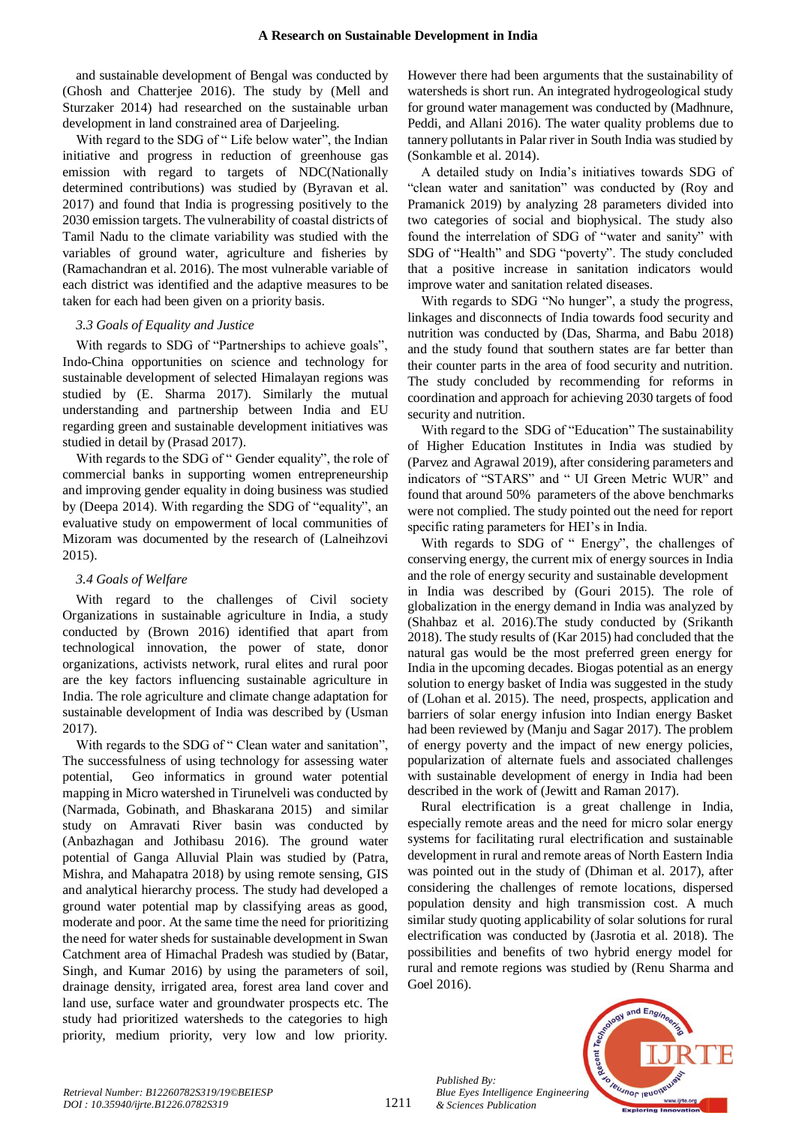and sustainable development of Bengal was conducted by (Ghosh and Chatterjee 2016). The study by (Mell and Sturzaker 2014) had researched on the sustainable urban development in land constrained area of Darjeeling.

With regard to the SDG of "Life below water", the Indian initiative and progress in reduction of greenhouse gas emission with regard to targets of NDC(Nationally determined contributions) was studied by (Byravan et al. 2017) and found that India is progressing positively to the 2030 emission targets. The vulnerability of coastal districts of Tamil Nadu to the climate variability was studied with the variables of ground water, agriculture and fisheries by (Ramachandran et al. 2016). The most vulnerable variable of each district was identified and the adaptive measures to be taken for each had been given on a priority basis.

## *3.3 Goals of Equality and Justice*

With regards to SDG of "Partnerships to achieve goals", Indo-China opportunities on science and technology for sustainable development of selected Himalayan regions was studied by (E. Sharma 2017). Similarly the mutual understanding and partnership between India and EU regarding green and sustainable development initiatives was studied in detail by (Prasad 2017).

With regards to the SDG of " Gender equality", the role of commercial banks in supporting women entrepreneurship and improving gender equality in doing business was studied by (Deepa 2014). With regarding the SDG of "equality", an evaluative study on empowerment of local communities of Mizoram was documented by the research of (Lalneihzovi 2015).

### *3.4 Goals of Welfare*

With regard to the challenges of Civil society Organizations in sustainable agriculture in India, a study conducted by (Brown 2016) identified that apart from technological innovation, the power of state, donor organizations, activists network, rural elites and rural poor are the key factors influencing sustainable agriculture in India. The role agriculture and climate change adaptation for sustainable development of India was described by (Usman 2017).

With regards to the SDG of "Clean water and sanitation", The successfulness of using technology for assessing water potential, Geo informatics in ground water potential mapping in Micro watershed in Tirunelveli was conducted by (Narmada, Gobinath, and Bhaskarana 2015) and similar study on Amravati River basin was conducted by (Anbazhagan and Jothibasu 2016). The ground water potential of Ganga Alluvial Plain was studied by (Patra, Mishra, and Mahapatra 2018) by using remote sensing, GIS and analytical hierarchy process. The study had developed a ground water potential map by classifying areas as good, moderate and poor. At the same time the need for prioritizing the need for water sheds for sustainable development in Swan Catchment area of Himachal Pradesh was studied by (Batar, Singh, and Kumar 2016) by using the parameters of soil, drainage density, irrigated area, forest area land cover and land use, surface water and groundwater prospects etc. The study had prioritized watersheds to the categories to high priority, medium priority, very low and low priority.

However there had been arguments that the sustainability of watersheds is short run. An integrated hydrogeological study for ground water management was conducted by (Madhnure, Peddi, and Allani 2016). The water quality problems due to tannery pollutants in Palar river in South India was studied by (Sonkamble et al. 2014).

A detailed study on India's initiatives towards SDG of "clean water and sanitation" was conducted by (Roy and Pramanick 2019) by analyzing 28 parameters divided into two categories of social and biophysical. The study also found the interrelation of SDG of "water and sanity" with SDG of "Health" and SDG "poverty". The study concluded that a positive increase in sanitation indicators would improve water and sanitation related diseases.

With regards to SDG "No hunger", a study the progress, linkages and disconnects of India towards food security and nutrition was conducted by (Das, Sharma, and Babu 2018) and the study found that southern states are far better than their counter parts in the area of food security and nutrition. The study concluded by recommending for reforms in coordination and approach for achieving 2030 targets of food security and nutrition.

With regard to the SDG of "Education" The sustainability of Higher Education Institutes in India was studied by (Parvez and Agrawal 2019), after considering parameters and indicators of "STARS" and " UI Green Metric WUR" and found that around 50% parameters of the above benchmarks were not complied. The study pointed out the need for report specific rating parameters for HEI's in India.

With regards to SDG of " Energy", the challenges of conserving energy, the current mix of energy sources in India and the role of energy security and sustainable development in India was described by (Gouri 2015). The role of globalization in the energy demand in India was analyzed by (Shahbaz et al. 2016).The study conducted by (Srikanth 2018). The study results of (Kar 2015) had concluded that the natural gas would be the most preferred green energy for India in the upcoming decades. Biogas potential as an energy solution to energy basket of India was suggested in the study of (Lohan et al. 2015). The need, prospects, application and barriers of solar energy infusion into Indian energy Basket had been reviewed by (Manju and Sagar 2017). The problem of energy poverty and the impact of new energy policies, popularization of alternate fuels and associated challenges with sustainable development of energy in India had been described in the work of (Jewitt and Raman 2017).

Rural electrification is a great challenge in India, especially remote areas and the need for micro solar energy systems for facilitating rural electrification and sustainable development in rural and remote areas of North Eastern India was pointed out in the study of (Dhiman et al. 2017), after considering the challenges of remote locations, dispersed population density and high transmission cost. A much similar study quoting applicability of solar solutions for rural electrification was conducted by (Jasrotia et al. 2018). The possibilities and benefits of two hybrid energy model for rural and remote regions was studied by (Renu Sharma and Goel 2016).

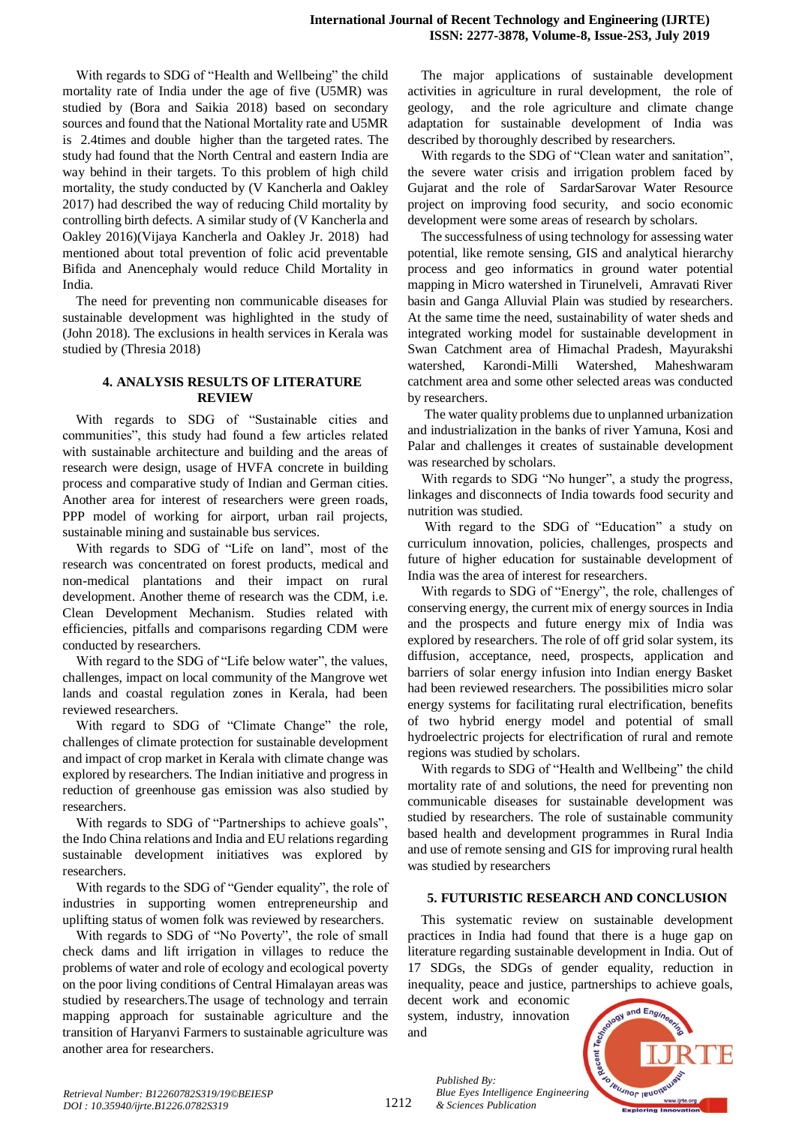With regards to SDG of "Health and Wellbeing" the child mortality rate of India under the age of five (U5MR) was studied by (Bora and Saikia 2018) based on secondary sources and found that the National Mortality rate and U5MR is 2.4times and double higher than the targeted rates. The study had found that the North Central and eastern India are way behind in their targets. To this problem of high child mortality, the study conducted by (V Kancherla and Oakley 2017) had described the way of reducing Child mortality by controlling birth defects. A similar study of (V Kancherla and Oakley 2016)(Vijaya Kancherla and Oakley Jr. 2018) had mentioned about total prevention of folic acid preventable Bifida and Anencephaly would reduce Child Mortality in India.

The need for preventing non communicable diseases for sustainable development was highlighted in the study of (John 2018). The exclusions in health services in Kerala was studied by (Thresia 2018)

## **4. ANALYSIS RESULTS OF LITERATURE REVIEW**

With regards to SDG of "Sustainable cities and communities", this study had found a few articles related with sustainable architecture and building and the areas of research were design, usage of HVFA concrete in building process and comparative study of Indian and German cities. Another area for interest of researchers were green roads, PPP model of working for airport, urban rail projects, sustainable mining and sustainable bus services.

With regards to SDG of "Life on land", most of the research was concentrated on forest products, medical and non-medical plantations and their impact on rural development. Another theme of research was the CDM, i.e. Clean Development Mechanism. Studies related with efficiencies, pitfalls and comparisons regarding CDM were conducted by researchers.

With regard to the SDG of "Life below water", the values, challenges, impact on local community of the Mangrove wet lands and coastal regulation zones in Kerala, had been reviewed researchers.

With regard to SDG of "Climate Change" the role, challenges of climate protection for sustainable development and impact of crop market in Kerala with climate change was explored by researchers. The Indian initiative and progress in reduction of greenhouse gas emission was also studied by researchers.

With regards to SDG of "Partnerships to achieve goals", the Indo China relations and India and EU relations regarding sustainable development initiatives was explored by researchers.

With regards to the SDG of "Gender equality", the role of industries in supporting women entrepreneurship and uplifting status of women folk was reviewed by researchers.

With regards to SDG of "No Poverty", the role of small check dams and lift irrigation in villages to reduce the problems of water and role of ecology and ecological poverty on the poor living conditions of Central Himalayan areas was studied by researchers.The usage of technology and terrain mapping approach for sustainable agriculture and the transition of Haryanvi Farmers to sustainable agriculture was another area for researchers.

The major applications of sustainable development activities in agriculture in rural development, the role of geology, and the role agriculture and climate change adaptation for sustainable development of India was described by thoroughly described by researchers.

With regards to the SDG of "Clean water and sanitation", the severe water crisis and irrigation problem faced by Gujarat and the role of SardarSarovar Water Resource project on improving food security, and socio economic development were some areas of research by scholars.

The successfulness of using technology for assessing water potential, like remote sensing, GIS and analytical hierarchy process and geo informatics in ground water potential mapping in Micro watershed in Tirunelveli, Amravati River basin and Ganga Alluvial Plain was studied by researchers. At the same time the need, sustainability of water sheds and integrated working model for sustainable development in Swan Catchment area of Himachal Pradesh, Mayurakshi watershed, Karondi-Milli Watershed, Maheshwaram catchment area and some other selected areas was conducted by researchers.

The water quality problems due to unplanned urbanization and industrialization in the banks of river Yamuna, Kosi and Palar and challenges it creates of sustainable development was researched by scholars.

With regards to SDG "No hunger", a study the progress, linkages and disconnects of India towards food security and nutrition was studied.

With regard to the SDG of "Education" a study on curriculum innovation, policies, challenges, prospects and future of higher education for sustainable development of India was the area of interest for researchers.

With regards to SDG of "Energy", the role, challenges of conserving energy, the current mix of energy sources in India and the prospects and future energy mix of India was explored by researchers. The role of off grid solar system, its diffusion, acceptance, need, prospects, application and barriers of solar energy infusion into Indian energy Basket had been reviewed researchers. The possibilities micro solar energy systems for facilitating rural electrification, benefits of two hybrid energy model and potential of small hydroelectric projects for electrification of rural and remote regions was studied by scholars.

With regards to SDG of "Health and Wellbeing" the child mortality rate of and solutions, the need for preventing non communicable diseases for sustainable development was studied by researchers. The role of sustainable community based health and development programmes in Rural India and use of remote sensing and GIS for improving rural health was studied by researchers

## **5. FUTURISTIC RESEARCH AND CONCLUSION**

This systematic review on sustainable development practices in India had found that there is a huge gap on literature regarding sustainable development in India. Out of 17 SDGs, the SDGs of gender equality, reduction in inequality, peace and justice, partnerships to achieve goals,

decent work and economic system, industry, innovation and

*& Sciences Publication* 

*Published By:*



*Retrieval Number: B12260782S319/19©BEIESP DOI : 10.35940/ijrte.B1226.0782S319*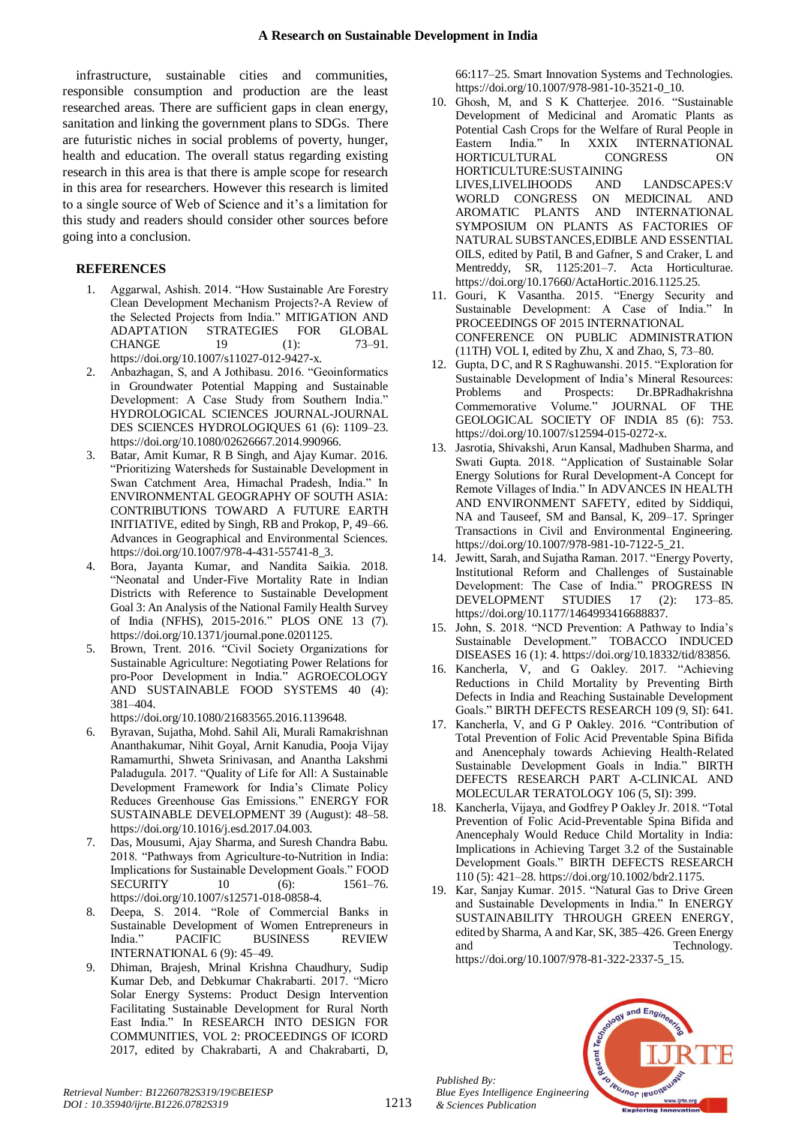infrastructure, sustainable cities and communities, responsible consumption and production are the least researched areas. There are sufficient gaps in clean energy, sanitation and linking the government plans to SDGs. There are futuristic niches in social problems of poverty, hunger, health and education. The overall status regarding existing research in this area is that there is ample scope for research in this area for researchers. However this research is limited to a single source of Web of Science and it's a limitation for this study and readers should consider other sources before going into a conclusion.

## **REFERENCES**

- 1. Aggarwal, Ashish. 2014. "How Sustainable Are Forestry Clean Development Mechanism Projects?-A Review of the Selected Projects from India." MITIGATION AND ADAPTATION STRATEGIES FOR GLOBAL CHANGE 19 (1): 73–91. https://doi.org/10.1007/s11027-012-9427-x.
- 2. Anbazhagan, S, and A Jothibasu. 2016. "Geoinformatics in Groundwater Potential Mapping and Sustainable Development: A Case Study from Southern India." HYDROLOGICAL SCIENCES JOURNAL-JOURNAL DES SCIENCES HYDROLOGIQUES 61 (6): 1109–23. https://doi.org/10.1080/02626667.2014.990966.
- 3. Batar, Amit Kumar, R B Singh, and Ajay Kumar. 2016. "Prioritizing Watersheds for Sustainable Development in Swan Catchment Area, Himachal Pradesh, India." In ENVIRONMENTAL GEOGRAPHY OF SOUTH ASIA: CONTRIBUTIONS TOWARD A FUTURE EARTH INITIATIVE, edited by Singh, RB and Prokop, P, 49–66. Advances in Geographical and Environmental Sciences. https://doi.org/10.1007/978-4-431-55741-8\_3.
- 4. Bora, Jayanta Kumar, and Nandita Saikia. 2018. "Neonatal and Under-Five Mortality Rate in Indian Districts with Reference to Sustainable Development Goal 3: An Analysis of the National Family Health Survey of India (NFHS), 2015-2016." PLOS ONE 13 (7). https://doi.org/10.1371/journal.pone.0201125.
- 5. Brown, Trent. 2016. "Civil Society Organizations for Sustainable Agriculture: Negotiating Power Relations for pro-Poor Development in India." AGROECOLOGY AND SUSTAINABLE FOOD SYSTEMS 40 (4): 381–404.

https://doi.org/10.1080/21683565.2016.1139648.

- 6. Byravan, Sujatha, Mohd. Sahil Ali, Murali Ramakrishnan Ananthakumar, Nihit Goyal, Arnit Kanudia, Pooja Vijay Ramamurthi, Shweta Srinivasan, and Anantha Lakshmi Paladugula. 2017. "Quality of Life for All: A Sustainable Development Framework for India's Climate Policy Reduces Greenhouse Gas Emissions." ENERGY FOR SUSTAINABLE DEVELOPMENT 39 (August): 48–58. https://doi.org/10.1016/j.esd.2017.04.003.
- 7. Das, Mousumi, Ajay Sharma, and Suresh Chandra Babu. 2018. "Pathways from Agriculture-to-Nutrition in India: Implications for Sustainable Development Goals." FOOD SECURITY 10 (6): 1561–76. https://doi.org/10.1007/s12571-018-0858-4.
- 8. Deepa, S. 2014. "Role of Commercial Banks in Sustainable Development of Women Entrepreneurs in India." PACIFIC BUSINESS REVIEW INTERNATIONAL 6 (9): 45–49.
- 9. Dhiman, Brajesh, Mrinal Krishna Chaudhury, Sudip Kumar Deb, and Debkumar Chakrabarti. 2017. "Micro Solar Energy Systems: Product Design Intervention Facilitating Sustainable Development for Rural North East India." In RESEARCH INTO DESIGN FOR COMMUNITIES, VOL 2: PROCEEDINGS OF ICORD 2017, edited by Chakrabarti, A and Chakrabarti, D,

66:117–25. Smart Innovation Systems and Technologies. https://doi.org/10.1007/978-981-10-3521-0\_10.

- 10. Ghosh, M, and S K Chatterjee. 2016. "Sustainable Development of Medicinal and Aromatic Plants as Potential Cash Crops for the Welfare of Rural People in Eastern India." In XXIX INTERNATIONAL HORTICULTURAL CONGRESS ON HORTICULTURE:SUSTAINING LIVES,LIVELIHOODS AND LANDSCAPES:V WORLD CONGRESS ON MEDICINAL AND AROMATIC PLANTS AND INTERNATIONAL SYMPOSIUM ON PLANTS AS FACTORIES OF NATURAL SUBSTANCES,EDIBLE AND ESSENTIAL OILS, edited by Patil, B and Gafner, S and Craker, L and Mentreddy, SR, 1125:201–7. Acta Horticulturae. https://doi.org/10.17660/ActaHortic.2016.1125.25.
- 11. Gouri, K Vasantha. 2015. "Energy Security and Sustainable Development: A Case of India." In PROCEEDINGS OF 2015 INTERNATIONAL CONFERENCE ON PUBLIC ADMINISTRATION (11TH) VOL I, edited by Zhu, X and Zhao, S, 73–80.
- 12. Gupta, D C, and R S Raghuwanshi. 2015. "Exploration for Sustainable Development of India's Mineral Resources: Problems and Prospects: Dr.BPRadhakrishna Commemorative Volume." JOURNAL OF THE GEOLOGICAL SOCIETY OF INDIA 85 (6): 753. https://doi.org/10.1007/s12594-015-0272-x.
- 13. Jasrotia, Shivakshi, Arun Kansal, Madhuben Sharma, and Swati Gupta. 2018. "Application of Sustainable Solar Energy Solutions for Rural Development-A Concept for Remote Villages of India." In ADVANCES IN HEALTH AND ENVIRONMENT SAFETY, edited by Siddiqui, NA and Tauseef, SM and Bansal, K, 209–17. Springer Transactions in Civil and Environmental Engineering. https://doi.org/10.1007/978-981-10-7122-5\_21.
- 14. Jewitt, Sarah, and Sujatha Raman. 2017. "Energy Poverty, Institutional Reform and Challenges of Sustainable Development: The Case of India." PROGRESS IN DEVELOPMENT STUDIES 17 (2): 173–85. https://doi.org/10.1177/1464993416688837.
- 15. John, S. 2018. "NCD Prevention: A Pathway to India's Sustainable Development." TOBACCO INDUCED DISEASES 16 (1): 4. https://doi.org/10.18332/tid/83856.
- 16. Kancherla, V, and G Oakley. 2017. "Achieving Reductions in Child Mortality by Preventing Birth Defects in India and Reaching Sustainable Development Goals." BIRTH DEFECTS RESEARCH 109 (9, SI): 641.
- 17. Kancherla, V, and G P Oakley. 2016. "Contribution of Total Prevention of Folic Acid Preventable Spina Bifida and Anencephaly towards Achieving Health-Related Sustainable Development Goals in India." BIRTH DEFECTS RESEARCH PART A-CLINICAL AND MOLECULAR TERATOLOGY 106 (5, SI): 399.
- 18. Kancherla, Vijaya, and Godfrey P Oakley Jr. 2018. "Total Prevention of Folic Acid-Preventable Spina Bifida and Anencephaly Would Reduce Child Mortality in India: Implications in Achieving Target 3.2 of the Sustainable Development Goals." BIRTH DEFECTS RESEARCH 110 (5): 421–28. https://doi.org/10.1002/bdr2.1175.
- 19. Kar, Sanjay Kumar. 2015. "Natural Gas to Drive Green and Sustainable Developments in India." In ENERGY SUSTAINABILITY THROUGH GREEN ENERGY, edited by Sharma, A and Kar, SK, 385–426. Green Energy and Technology.

https://doi.org/10.1007/978-81-322-2337-5\_15.

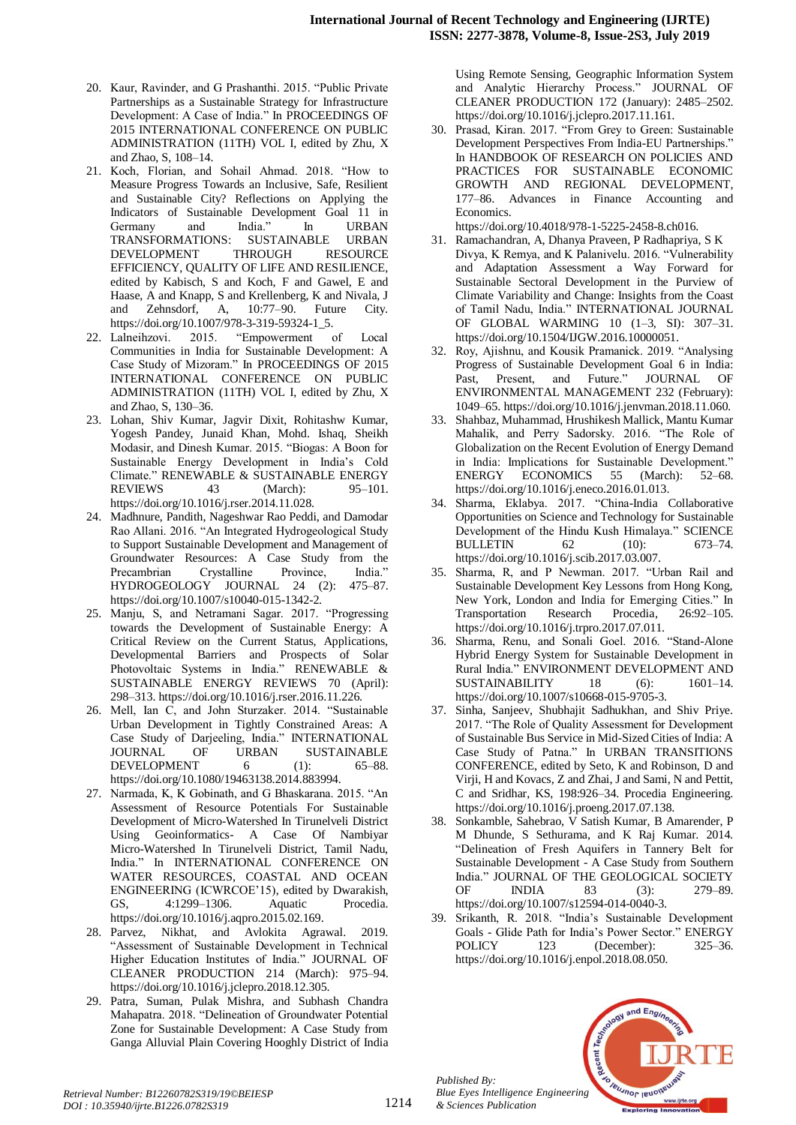- 20. Kaur, Ravinder, and G Prashanthi. 2015. "Public Private Partnerships as a Sustainable Strategy for Infrastructure Development: A Case of India." In PROCEEDINGS OF 2015 INTERNATIONAL CONFERENCE ON PUBLIC ADMINISTRATION (11TH) VOL I, edited by Zhu, X and Zhao, S, 108–14.
- 21. Koch, Florian, and Sohail Ahmad. 2018. "How to Measure Progress Towards an Inclusive, Safe, Resilient and Sustainable City? Reflections on Applying the Indicators of Sustainable Development Goal 11 in Germany and India." In URBAN TRANSFORMATIONS: SUSTAINABLE URBAN DEVELOPMENT THROUGH RESOURCE EFFICIENCY, QUALITY OF LIFE AND RESILIENCE, edited by Kabisch, S and Koch, F and Gawel, E and Haase, A and Knapp, S and Krellenberg, K and Nivala, J and Zehnsdorf, A, 10:77–90. Future City. https://doi.org/10.1007/978-3-319-59324-1\_5.
- 22. Lalneihzovi. 2015. "Empowerment of Local Communities in India for Sustainable Development: A Case Study of Mizoram." In PROCEEDINGS OF 2015 INTERNATIONAL CONFERENCE ON PUBLIC ADMINISTRATION (11TH) VOL I, edited by Zhu, X and Zhao, S, 130–36.
- 23. Lohan, Shiv Kumar, Jagvir Dixit, Rohitashw Kumar, Yogesh Pandey, Junaid Khan, Mohd. Ishaq, Sheikh Modasir, and Dinesh Kumar. 2015. "Biogas: A Boon for Sustainable Energy Development in India's Cold Climate." RENEWABLE & SUSTAINABLE ENERGY REVIEWS 43 (March): 95–101. https://doi.org/10.1016/j.rser.2014.11.028.
- 24. Madhnure, Pandith, Nageshwar Rao Peddi, and Damodar Rao Allani. 2016. "An Integrated Hydrogeological Study to Support Sustainable Development and Management of Groundwater Resources: A Case Study from the Precambrian Crystalline Province, India." HYDROGEOLOGY JOURNAL 24 (2): 475–87. https://doi.org/10.1007/s10040-015-1342-2.
- 25. Manju, S, and Netramani Sagar. 2017. "Progressing towards the Development of Sustainable Energy: A Critical Review on the Current Status, Applications, Developmental Barriers and Prospects of Solar Photovoltaic Systems in India." RENEWABLE & SUSTAINABLE ENERGY REVIEWS 70 (April): 298–313. https://doi.org/10.1016/j.rser.2016.11.226.
- 26. Mell, Ian C, and John Sturzaker. 2014. "Sustainable Urban Development in Tightly Constrained Areas: A Case Study of Darjeeling, India." INTERNATIONAL JOURNAL OF URBAN SUSTAINABLE DEVELOPMENT 6 (1): 65–88. https://doi.org/10.1080/19463138.2014.883994.
- 27. Narmada, K, K Gobinath, and G Bhaskarana. 2015. "An Assessment of Resource Potentials For Sustainable Development of Micro-Watershed In Tirunelveli District Using Geoinformatics- A Case Of Nambiyar Micro-Watershed In Tirunelveli District, Tamil Nadu, India." In INTERNATIONAL CONFERENCE ON WATER RESOURCES, COASTAL AND OCEAN ENGINEERING (ICWRCOE'15), edited by Dwarakish, GS, 4:1299–1306. Aquatic Procedia. https://doi.org/10.1016/j.aqpro.2015.02.169.
- 28. Parvez, Nikhat, and Avlokita Agrawal. 2019. "Assessment of Sustainable Development in Technical Higher Education Institutes of India." JOURNAL OF CLEANER PRODUCTION 214 (March): 975–94. https://doi.org/10.1016/j.jclepro.2018.12.305.
- 29. Patra, Suman, Pulak Mishra, and Subhash Chandra Mahapatra. 2018. "Delineation of Groundwater Potential Zone for Sustainable Development: A Case Study from Ganga Alluvial Plain Covering Hooghly District of India

Using Remote Sensing, Geographic Information System and Analytic Hierarchy Process." JOURNAL OF CLEANER PRODUCTION 172 (January): 2485–2502. https://doi.org/10.1016/j.jclepro.2017.11.161.

30. Prasad, Kiran. 2017. "From Grey to Green: Sustainable Development Perspectives From India-EU Partnerships." In HANDBOOK OF RESEARCH ON POLICIES AND PRACTICES FOR SUSTAINABLE ECONOMIC GROWTH AND REGIONAL DEVELOPMENT, 177–86. Advances in Finance Accounting and Economics.

https://doi.org/10.4018/978-1-5225-2458-8.ch016.

- 31. Ramachandran, A, Dhanya Praveen, P Radhapriya, S K Divya, K Remya, and K Palanivelu. 2016. "Vulnerability and Adaptation Assessment a Way Forward for Sustainable Sectoral Development in the Purview of Climate Variability and Change: Insights from the Coast of Tamil Nadu, India." INTERNATIONAL JOURNAL OF GLOBAL WARMING 10 (1–3, SI): 307–31. https://doi.org/10.1504/IJGW.2016.10000051.
- 32. Roy, Ajishnu, and Kousik Pramanick. 2019. "Analysing Progress of Sustainable Development Goal 6 in India: Past, Present, and Future." JOURNAL OF ENVIRONMENTAL MANAGEMENT 232 (February): 1049–65. https://doi.org/10.1016/j.jenvman.2018.11.060.
- 33. Shahbaz, Muhammad, Hrushikesh Mallick, Mantu Kumar Mahalik, and Perry Sadorsky. 2016. "The Role of Globalization on the Recent Evolution of Energy Demand in India: Implications for Sustainable Development." ENERGY ECONOMICS 55 (March): 52–68. https://doi.org/10.1016/j.eneco.2016.01.013.
- 34. Sharma, Eklabya. 2017. "China-India Collaborative Opportunities on Science and Technology for Sustainable Development of the Hindu Kush Himalaya." SCIENCE BULLETIN 62 (10): 673–74. https://doi.org/10.1016/j.scib.2017.03.007.
- 35. Sharma, R, and P Newman. 2017. "Urban Rail and Sustainable Development Key Lessons from Hong Kong, New York, London and India for Emerging Cities." In Transportation Research Procedia, 26:92–105. https://doi.org/10.1016/j.trpro.2017.07.011.
- 36. Sharma, Renu, and Sonali Goel. 2016. "Stand-Alone Hybrid Energy System for Sustainable Development in Rural India." ENVIRONMENT DEVELOPMENT AND  $SUSTAINABILITY 18 (6): 1601-14.$ https://doi.org/10.1007/s10668-015-9705-3.
- 37. Sinha, Sanjeev, Shubhajit Sadhukhan, and Shiv Priye. 2017. "The Role of Quality Assessment for Development of Sustainable Bus Service in Mid-Sized Cities of India: A Case Study of Patna." In URBAN TRANSITIONS CONFERENCE, edited by Seto, K and Robinson, D and Virji, H and Kovacs, Z and Zhai, J and Sami, N and Pettit, C and Sridhar, KS, 198:926–34. Procedia Engineering. https://doi.org/10.1016/j.proeng.2017.07.138.
- 38. Sonkamble, Sahebrao, V Satish Kumar, B Amarender, P M Dhunde, S Sethurama, and K Raj Kumar. 2014. "Delineation of Fresh Aquifers in Tannery Belt for Sustainable Development - A Case Study from Southern India." JOURNAL OF THE GEOLOGICAL SOCIETY OF INDIA 83 (3): 279–89. https://doi.org/10.1007/s12594-014-0040-3.
- Srikanth, R. 2018. "India's Sustainable Development Goals - Glide Path for India's Power Sector." ENERGY POLICY 123 (December): 325–36. https://doi.org/10.1016/j.enpol.2018.08.050.



*Retrieval Number: B12260782S319/19©BEIESP DOI : 10.35940/ijrte.B1226.0782S319*